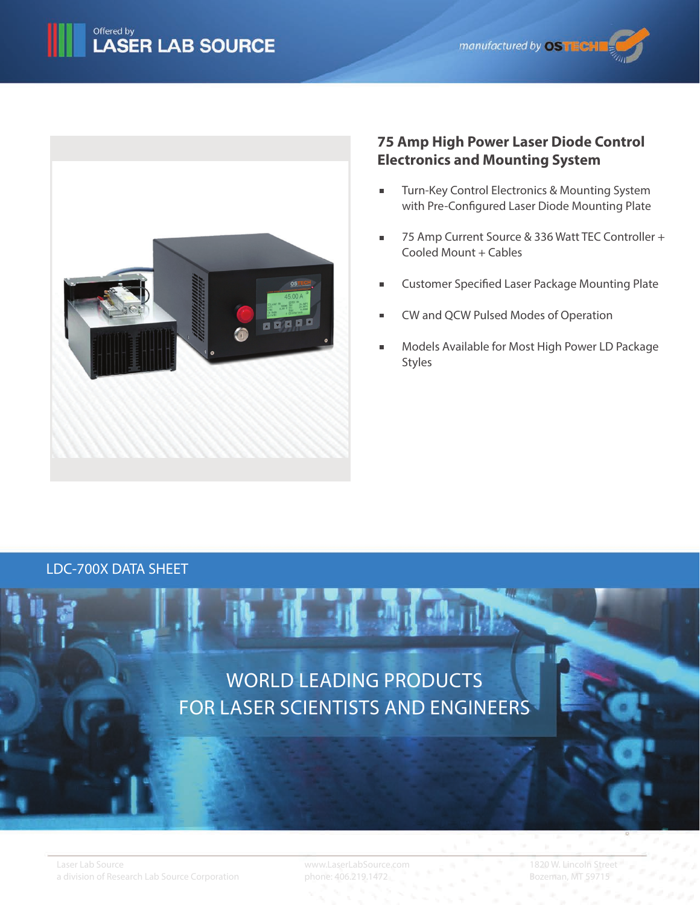



# **75 Amp High Power Laser Diode Control Electronics and Mounting System**

- Turn-Key Control Electronics & Mounting System  $\blacksquare$ with Pre-Configured Laser Diode Mounting Plate
- 75 Amp Current Source & 336 Watt TEC Controller +  $\blacksquare$ Cooled Mount + Cables
- Customer Specified Laser Package Mounting Plate
- CW and QCW Pulsed Modes of Operation
- Models Available for Most High Power LD Package Styles

## LDC-700X DATA SHEET



www.LaserLabSource.com phone: 406.219.1472

1820 W. Lincoln Street Bozeman, MT 59715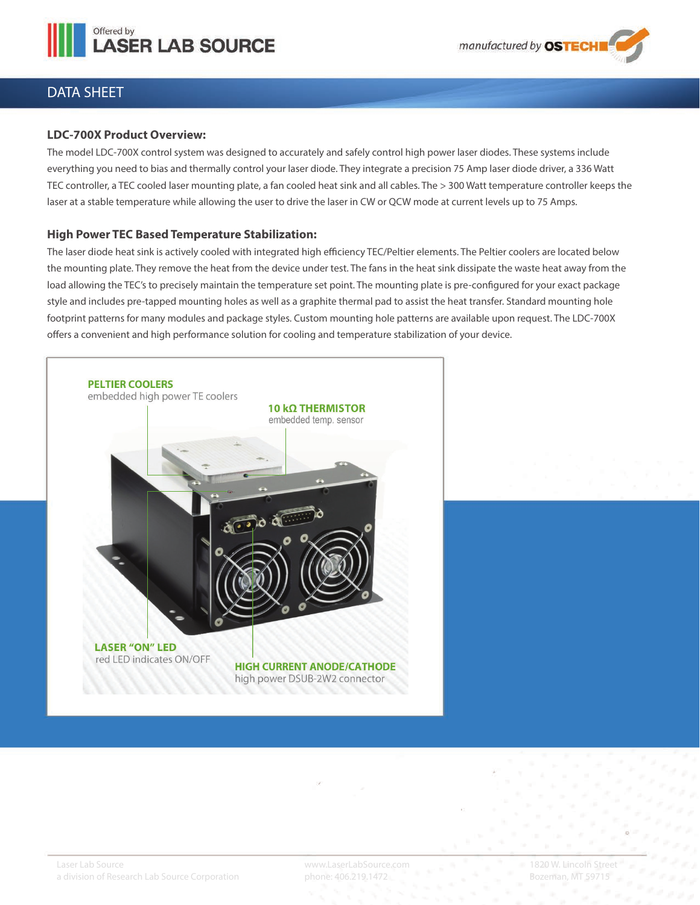



## DATA SHEET

### **LDC-700X Product Overview:**

The model LDC-700X control system was designed to accurately and safely control high power laser diodes. These systems include everything you need to bias and thermally control your laser diode. They integrate a precision 75 Amp laser diode driver, a 336 Watt TEC controller, a TEC cooled laser mounting plate, a fan cooled heat sink and all cables. The > 300 Watt temperature controller keeps the laser at a stable temperature while allowing the user to drive the laser in CW or QCW mode at current levels up to 75 Amps.

### **High Power TEC Based Temperature Stabilization:**

The laser diode heat sink is actively cooled with integrated high efficiency TEC/Peltier elements. The Peltier coolers are located below the mounting plate. They remove the heat from the device under test. The fans in the heat sink dissipate the waste heat away from the load allowing the TEC's to precisely maintain the temperature set point. The mounting plate is pre-configured for your exact package style and includes pre-tapped mounting holes as well as a graphite thermal pad to assist the heat transfer. Standard mounting hole footprint patterns for many modules and package styles. Custom mounting hole patterns are available upon request. The LDC-700X offers a convenient and high performance solution for cooling and temperature stabilization of your device.

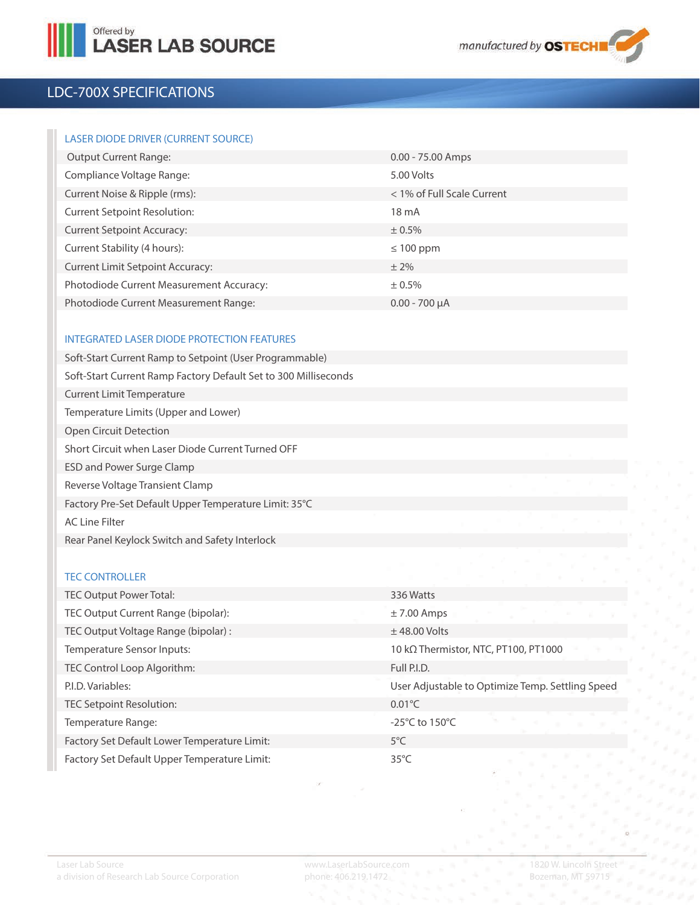



# LDC-700X SPECIFICATIONS

### LASER DIODE DRIVER (CURRENT SOURCE)

| <b>Output Current Range:</b>             | $0.00 - 75.00$ Amps        |
|------------------------------------------|----------------------------|
| Compliance Voltage Range:                | 5.00 Volts                 |
| Current Noise & Ripple (rms):            | < 1% of Full Scale Current |
| <b>Current Setpoint Resolution:</b>      | $18 \text{ mA}$            |
| <b>Current Setpoint Accuracy:</b>        | $± 0.5\%$                  |
| Current Stability (4 hours):             | $\leq 100$ ppm             |
| <b>Current Limit Setpoint Accuracy:</b>  | $± 2\%$                    |
| Photodiode Current Measurement Accuracy: | ± 0.5%                     |
| Photodiode Current Measurement Range:    | $0.00 - 700 \mu A$         |

### INTEGRATED LASER DIODE PROTECTION FEATURES

#### TEC CONTROLLER

| TEC Output Power Total:                      | 336 Watts                                        |
|----------------------------------------------|--------------------------------------------------|
| TEC Output Current Range (bipolar):          | $\pm$ 7.00 Amps                                  |
| TEC Output Voltage Range (bipolar) :         | $±$ 48.00 Volts                                  |
| Temperature Sensor Inputs:                   | 10 kΩ Thermistor, NTC, PT100, PT1000             |
| TEC Control Loop Algorithm:                  | Full P.I.D.                                      |
| P.I.D. Variables:                            | User Adjustable to Optimize Temp. Settling Speed |
| TEC Setpoint Resolution:                     | $0.01^{\circ}$ C                                 |
| Temperature Range:                           | $-25^{\circ}$ C to 150 $^{\circ}$ C              |
| Factory Set Default Lower Temperature Limit: | $5^{\circ}$ C                                    |
| Factory Set Default Upper Temperature Limit: | $35^{\circ}$ C                                   |
|                                              |                                                  |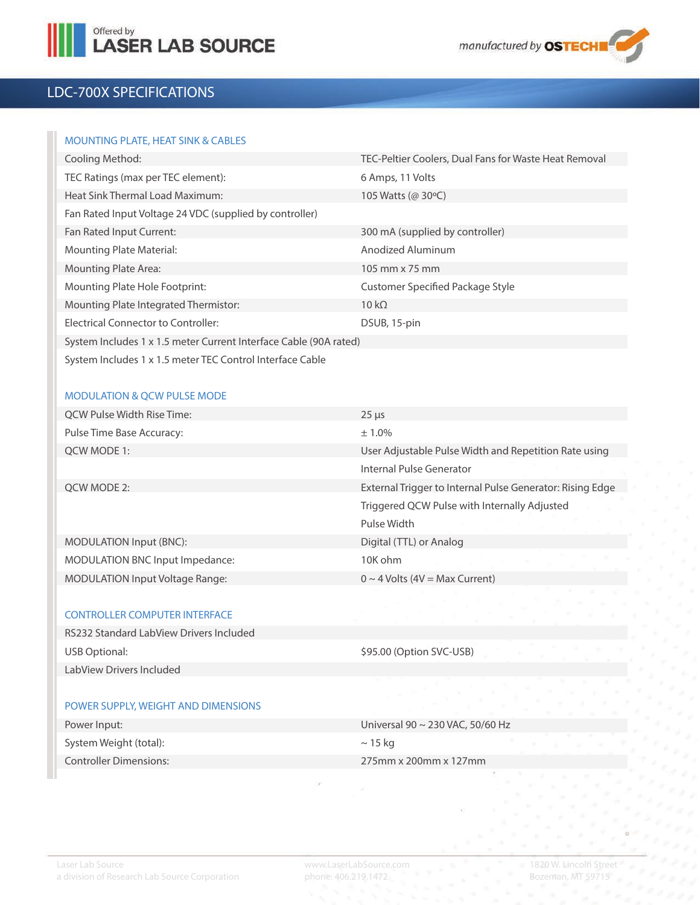



# LDC-700X SPECIFICATIONS

### MOUNTING PLATE, HEAT SINK & CABLES

| Cooling Method:                                                   | TEC-Peltier Coolers, Dual Fans for Waste Heat Removal |
|-------------------------------------------------------------------|-------------------------------------------------------|
| TEC Ratings (max per TEC element):                                | 6 Amps, 11 Volts                                      |
| Heat Sink Thermal Load Maximum:                                   | 105 Watts (@ 30 °C)                                   |
| Fan Rated Input Voltage 24 VDC (supplied by controller)           |                                                       |
| Fan Rated Input Current:                                          | 300 mA (supplied by controller)                       |
| <b>Mounting Plate Material:</b>                                   | Anodized Aluminum                                     |
| <b>Mounting Plate Area:</b>                                       | 105 mm x 75 mm                                        |
| Mounting Plate Hole Footprint:                                    | Customer Specified Package Style                      |
| Mounting Plate Integrated Thermistor:                             | $10 k\Omega$                                          |
| Electrical Connector to Controller:                               | DSUB, 15-pin                                          |
| System Includes 1 x 1.5 meter Current Interface Cable (90A rated) |                                                       |
| System Includes 1 x 1.5 meter TEC Control Interface Cable         |                                                       |

### MODULATION & QCW PULSE MODE

| QCW Pulse Width Rise Time:             | $25 \mu s$                                                |
|----------------------------------------|-----------------------------------------------------------|
| Pulse Time Base Accuracy:              | $± 1.0\%$                                                 |
| OCW MODE 1:                            | User Adjustable Pulse Width and Repetition Rate using     |
|                                        | Internal Pulse Generator                                  |
| OCW MODE 2:                            | External Trigger to Internal Pulse Generator: Rising Edge |
|                                        | Triggered QCW Pulse with Internally Adjusted              |
|                                        | Pulse Width                                               |
| MODULATION Input (BNC):                | Digital (TTL) or Analog                                   |
| MODULATION BNC Input Impedance:        | 10K ohm                                                   |
| <b>MODULATION Input Voltage Range:</b> | $0 \sim 4$ Volts (4V = Max Current)                       |
|                                        |                                                           |

#### CONTROLLER COMPUTER INTERFACE

| RS232 Standard LabView Drivers Included |                          |  |  |
|-----------------------------------------|--------------------------|--|--|
| USB Optional:                           | \$95.00 (Option SVC-USB) |  |  |
| LabView Drivers Included                |                          |  |  |

#### POWER SUPPLY, WEIGHT AND DIMENSIONS

| Power Input:           | Universal 90 $\sim$ 230 VAC, 50/60 Hz |
|------------------------|---------------------------------------|
| System Weight (total): | $\sim$ 15 kg                          |
| Controller Dimensions: | 275mm x 200mm x 127mm                 |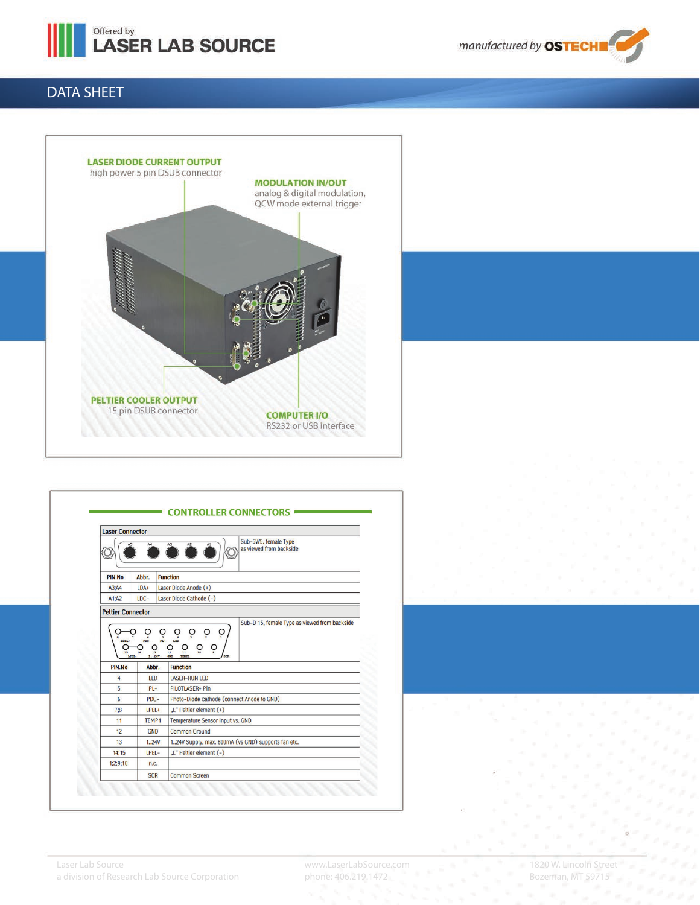

manufactured by OSTECHI

# DATA SHEET



| Sub-5W5, female Type<br>A <sub>3</sub><br>A4<br>as viewed from backside<br><b>Function</b><br>PIN.No<br>Abbr.<br>Laser Diode Anode (+)<br>$LDA+$<br>A3:AA<br>$IDC-$<br>Laser Diode Cathode (-)<br>A1:A2<br><b>Peltier Connector</b><br>Sub-D 15, female Type as viewed from backside<br>$\mathsf{O}$<br>$\overline{O}$<br>ò<br>O<br>$\frac{1}{2}$<br>LPEL4<br>$\sum_{10}$<br>$\overline{O}$<br>$\circ$<br>$\frac{0}{12}$<br>$\frac{O}{13}$<br>14<br>15<br>LPEL-<br>1.14V<br>GND<br><b>TEMP</b> |
|------------------------------------------------------------------------------------------------------------------------------------------------------------------------------------------------------------------------------------------------------------------------------------------------------------------------------------------------------------------------------------------------------------------------------------------------------------------------------------------------|
|                                                                                                                                                                                                                                                                                                                                                                                                                                                                                                |
|                                                                                                                                                                                                                                                                                                                                                                                                                                                                                                |
|                                                                                                                                                                                                                                                                                                                                                                                                                                                                                                |
|                                                                                                                                                                                                                                                                                                                                                                                                                                                                                                |
|                                                                                                                                                                                                                                                                                                                                                                                                                                                                                                |
| <b>Function</b><br>PIN.No<br>Abbr.                                                                                                                                                                                                                                                                                                                                                                                                                                                             |
| <b>LASER-RUN LED</b><br>4<br>LED                                                                                                                                                                                                                                                                                                                                                                                                                                                               |
| 5<br><b>PILOTLASER+ Pin</b><br>$PL +$                                                                                                                                                                                                                                                                                                                                                                                                                                                          |
| Photo-Diode cathode (connect Anode to GND)<br>6<br>$PDC -$                                                                                                                                                                                                                                                                                                                                                                                                                                     |
| "L" Peltier element (+)<br>7:8<br>LPEL+                                                                                                                                                                                                                                                                                                                                                                                                                                                        |
| <b>Temperature Sensor Input vs. GND</b><br>11<br>TEMP1                                                                                                                                                                                                                                                                                                                                                                                                                                         |
| 12<br><b>GND</b><br><b>Common Ground</b>                                                                                                                                                                                                                                                                                                                                                                                                                                                       |
| 124V Supply, max. 800mA (vs GND) supports fan etc.<br>13<br>1.24V<br>LPEL-<br>"L" Peltier element (-)<br>14:15                                                                                                                                                                                                                                                                                                                                                                                 |
|                                                                                                                                                                                                                                                                                                                                                                                                                                                                                                |
| 1:2:9:10<br>n.c.                                                                                                                                                                                                                                                                                                                                                                                                                                                                               |